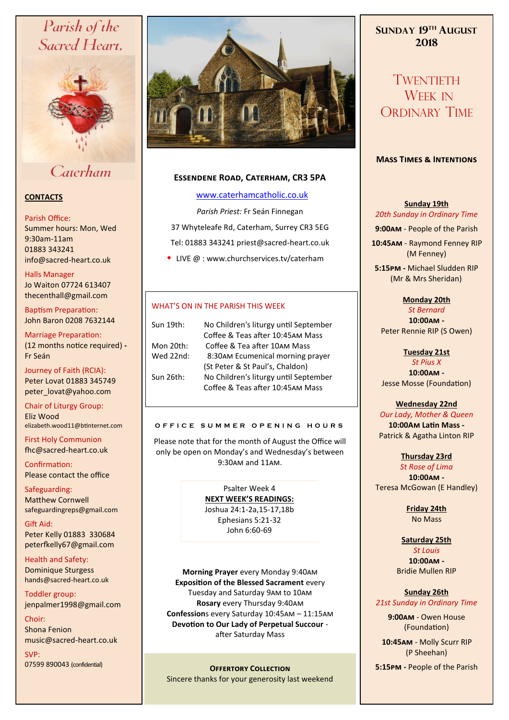# Parish of the Sacred Heart,



## Caterham

## **CONTACTS**

#### Parish Office:

Summer hours: Mon, Wed 9:30am-11am 01883 343241 info@sacred-heart.co.uk .

Halls Manager Jo Waiton 07724 613407 thecenthall@gmail.com

Baptism Preparation: John Baron 0208 7632144

Marriage Preparation: (12 months notice required) **-** Fr Seán

Journey of Faith (RCIA): Peter Lovat 01883 345749 peter\_lovat@yahoo.com

Chair of Liturgy Group: Eliz Wood elizabeth.wood11@btinternet.com

First Holy Communion fhc@sacred-heart.co.uk

Confirmation: Please contact the office

Safeguarding: Matthew Cornwell safeguardingreps@gmail.com

Gift Aid: Peter Kelly 01883 330684 peterfkelly67@gmail.com

Health and Safety: Dominique Sturgess hands@sacred-heart.co.uk

Toddler group: jenpalmer1998@gmail.com

Choir: Shona Fenion music@sacred-heart.co.uk

SVP: 07599 890043 (confidential)



## **Essendene Road, Caterham, CR3 5PA**

## [www.caterhamcatholic.co.uk](http://Www.caterhamcatholic.co.uk)

*Parish Priest:* Fr Seán Finnegan

37 Whyteleafe Rd, Caterham, Surrey CR3 5EG Tel: 01883 343241 priest@sacred-heart.co.uk

• LIVE @ : www.churchservices.tv/caterham

## WHAT'S ON IN THE PARISH THIS WEEK

| Sun 19th: | No Children's liturgy until September |
|-----------|---------------------------------------|
|           | Coffee & Teas after 10:45AM Mass      |
| Mon 20th: | Coffee & Tea after 10AM Mass          |
| Wed 22nd: | 8:30AM Ecumenical morning prayer      |
|           | (St Peter & St Paul's, Chaldon)       |
| Sun 26th: | No Children's liturgy until September |
|           | Coffee & Teas after 10:45AM Mass      |
|           |                                       |

#### **O F F I C E S U M M E R O P E N I N G H O U R S**

Please note that for the month of August the Office will only be open on Monday's and Wednesday's between 9:30am and 11am.

> Psalter Week 4 **NEXT WEEK'S READINGS:**  Joshua 24:1-2a,15-17,18b Ephesians 5:21-32 John 6:60-69

**Morning Prayer** every Monday 9:40am **Exposition of the Blessed Sacrament** every Tuesday and Saturday 9am to 10am **Rosary** every Thursday 9:40am **Confession**s every Saturday 10:45am – 11:15am **Devotion to Our Lady of Perpetual Succour**  after Saturday Mass

Sincere thanks for your generosity last weekend

## **SUNDAY 19TH AUGUST 2018**

TWENTIETH WEEK IN ORDINARY TIME

## **Mass Times & Intentions**

## **Sunday 19th** *20th Sunday in Ordinary Time*

**9:00am** - People of the Parish

.**10:45am** - Raymond Fenney RIP (M Fenney)

**5:15pm -** Michael Sludden RIP (Mr & Mrs Sheridan).

## **Monday 20th**

*St Bernard* **10:00am -** Peter Rennie RIP (S Owen)

**Tuesday 21st** 

*St Pius X* **10:00am -** Jesse Mosse (Foundation)

## **Wednesday 22nd**

*Our Lady, Mother & Queen* **10:00Am Latin Mass -** Patrick & Agatha Linton RIP

**Thursday 23rd**  *St Rose of Lima* **10:00am -** Teresa McGowan (E Handley)

> **Friday 24th**  No Mass

#### **Saturday 25th** *St Louis*

**10:00am -**  Bridie Mullen RIP

## **Sunday 26th** *21st Sunday in Ordinary Time*

**9:00am** - Owen House (Foundation)

.**10:45am** - Molly Scurr RIP (P Sheehan)

**Offertory Collection 5:15pm -** People of the Parish